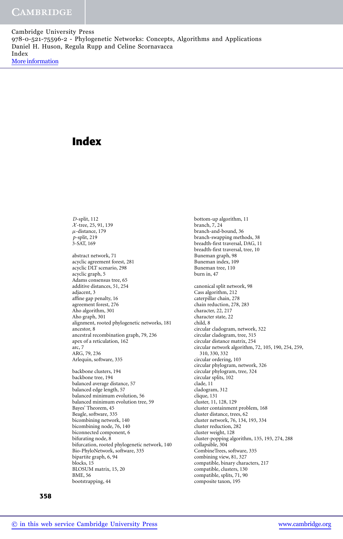# **Index**

*D*-split, 112 X -tree, 25, 91, 139  $\mu$ -distance, 179 *p*-split, 219 3-SAT, 169 abstract network, 71 acyclic agreement forest, 281 acyclic DLT scenario, 298 acyclic graph, 5 Adams consensus tree, 65 additive distances, 51, 254 adjacent, 3 affine gap penalty, 16 agreement forest, 276 Aho algorithm, 301 Aho graph, 301 alignment, rooted phylogenetic networks, 181 ancestor, 8 ancestral recombination graph, 79, 236 apex of a reticulation, 162 arc, 7 ARG, 79, 236 Arlequin, software, 335 backbone clusters, 194 backbone tree, 194 balanced average distance, 57 balanced edge length, 57 balanced minimum evolution, 56 balanced minimum evolution tree, 59 Bayes' Theorem, 45 Beagle, software, 335 bicombining network, 140 bicombining node, 76, 140 biconnected component, 6 bifurating node, 8 bifurcation, rooted phylogenetic network, 140 Bio-PhyloNetwork, software, 335 bipartite graph, 6, 94 blocks, 15 BLOSUM matrix, 15, 20

bottom-up algorithm, 11 branch, 7, 24 branch-and-bound, 36 branch-swapping methods, 38 breadth-first traversal, DAG, 11 breadth-first traversal, tree, 10 Buneman graph, 98 Buneman index, 109 Buneman tree, 110 burn in, 47 canonical split network, 98 Cass algorithm, 212 caterpillar chain, 278 chain reduction, 278, 283 character, 22, 217 character state, 22 child, 8 circular cladogram, network, 322 circular cladogram, tree, 315 circular distance matrix, 254 circular network algorithm, 72, 105, 190, 254, 259, 310, 330, 332 circular ordering, 103 circular phylogram, network, 326 circular phylogram, tree, 324 circular splits, 102 clade, 11 cladogram, 312 clique, 131 cluster, 11, 128, 129 cluster containment problem, 168 cluster distance, trees, 62 cluster network, 76, 134, 193, 334 cluster reduction, 282 cluster weight, 128 cluster-popping algorithm, 135, 193, 274, 288 collapsible, 304 CombineTrees, software, 335 combining view, 81, 327 compatible, binary characters, 217 compatible, clusters, 130 compatible, splits, 71, 90 composite taxon, 195

BME, 56 bootstrapping, 44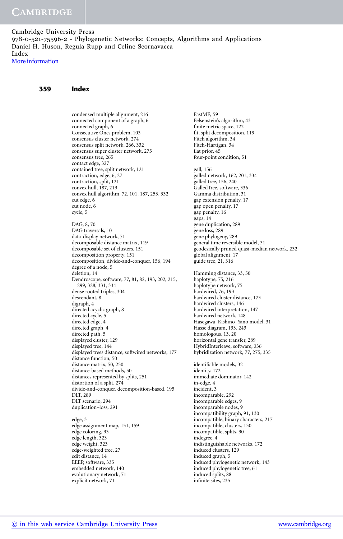## 359 Index

condensed multiple alignment, 216 connected component of a graph, 6 connected graph, 6 Consecutive Ones problem, 103 consensus cluster network, 274 consensus split network, 266, 332 consensus super cluster network, 275 consensus tree, 265 contact edge, 327 contained tree, split network, 121 contraction, edge, 6, 27 contraction, split, 121 convex hull, 187, 219 convex hull algorithm, 72, 101, 187, 253, 332 cut edge, 6 cut node, 6 cycle, 5 DAG, 8, 70 DAG traversals, 10 data-display network, 71 decomposable distance matrix, 119 decomposable set of clusters, 151 decomposition property, 151 decomposition, divide-and-conquer, 156, 194 degree of a node, 5 deletion, 14 Dendroscope, software, 77, 81, 82, 193, 202, 215, 299, 328, 331, 334 dense rooted triples, 304 descendant, 8 digraph, 4 directed acyclic graph, 8 directed cycle, 5 directed edge, 4 directed graph, 4 directed path, 5 displayed cluster, 129 displayed tree, 144 displayed trees distance, softwired networks, 177 distance function, 50 distance matrix, 50, 250 distance-based methods, 50 distances represented by splits, 251 distortion of a split, 274 divide-and-conquer, decomposition-based, 195 DLT, 289 DLT scenario, 294 duplication–loss, 291

edge, 3 edge assignment map, 151, 159 edge coloring, 93 edge length, 323 edge weight, 323 edge-weighted tree, 27 edit distance, 14 EEEP, software, 335 embedded network, 140 evolutionary network, 71 explicit network, 71

FastME, 59 Felsenstein's algorithm, 43 finite metric space, 122 fit, split decomposition, 119 Fitch algorithm, 34 Fitch-Hartigan, 34 flat prior, 45 four-point condition, 51 gall, 156 galled network, 162, 201, 334 galled tree, 156, 240 GalledTree, software, 336 Gamma distribution, 31 gap extension penalty, 17 gap open penalty, 17 gap penalty, 16 gaps, 14 gene duplication, 289 gene loss, 289 gene phylogeny, 289 general time reversible model, 31 geodesically pruned quasi-median network, 232 global alignment, 17 guide tree, 21, 316 Hamming distance, 33, 50 haplotype, 75, 216 haplotype network, 75 hardwired, 76, 193 hardwired cluster distance, 173 hardwired clusters, 146 hardwired interpretation, 147 hardwired network, 148 Hasegawa–Kishino–Yano model, 31 Hasse diagram, 133, 243 homologous, 13, 20 horizontal gene transfer, 289 HybridInterleave, software, 336 hybridization network, 77, 275, 335 identifiable models, 32 identity, 172 immediate dominator, 142 in-edge, 4 incident, 3 incomparable, 292 incomparable edges, 9 incomparable nodes, 9 incompatibility graph, 91, 130 incompatible, binary characters, 217 incompatible, clusters, 130 incompatible, splits, 90 indegree, 4 indistinguishable networks, 172 induced clusters, 129 induced graph, 5 induced phylogenetic network, 143 induced phylogenetic tree, 61 induced splits, 88 infinite sites, 235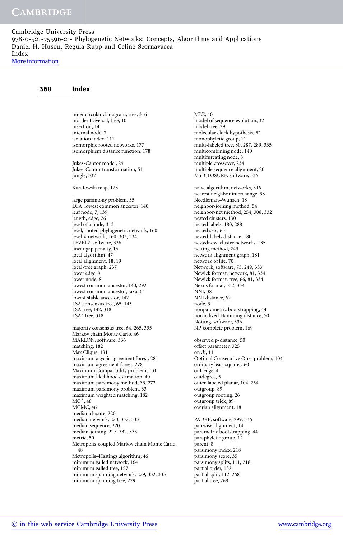[More information](http://www.cambridge.org/9780521755962)

#### 360 Index

inner circular cladogram, tree, 316 inorder traversal, tree, 10 insertion, 14 internal node, 7 isolation index, 111 isomorphic rooted networks, 177 isomorphism distance function, 178 Jukes-Cantor model, 29 Jukes-Cantor transformation, 51 jungle, 337 Kuratowski map, 125

large parsimony problem, 35 LCA, lowest common ancestor, 140 leaf node, 7, 139 length, edge, 26 level of a node, 313 level, rooted phylogenetic network, 160 level-*k* network, 160, 303, 334 LEVEL2, software, 336 linear gap penalty, 16 local algorithm, 47 local alignment, 18, 19 local-tree graph, 237 lower edge, 9 lower node, 8 lowest common ancestor, 140, 292 lowest common ancestor, taxa, 64 lowest stable ancestor, 142 LSA consensus tree, 65, 143 LSA tree, 142, 318 LSA<sup>\*</sup> tree, 318

majority consensus tree, 64, 265, 335 Markov chain Monte Carlo, 46 MARLON, software, 336 matching, 182 Max Clique, 131 maximum acyclic agreement forest, 281 maximum agreement forest, 278 Maximum Compatibility problem, 131 maximum likelihood estimation, 40 maximum parsimony method, 33, 272 maximum parsimony problem, 33 maximum weighted matching, 182  $MC<sup>3</sup>$ , 48 MCMC, 46 median closure, 220 median network, 220, 332, 333 median sequence, 220 median-joining, 227, 332, 333 metric, 50 Metropolis-coupled Markov chain Monte Carlo, 48 Metropolis–Hastings algorithm, 46 minimum galled network, 164 minimum galled tree, 157 minimum spanning network, 229, 332, 335 minimum spanning tree, 229

MLE, 40 model of sequence evolution, 32 model tree, 29 molecular clock hypothesis, 52 monophyletic group, 11 multi-labeled tree, 80, 287, 289, 335 multicombining node, 140 multifurcating node, 8 multiple crossover, 234 multiple sequence alignment, 20 MY-CLOSURE, software, 336 naive algorithm, networks, 316 nearest neighbor interchange, 38 Needleman–Wunsch, 18 neighbor-joining method, 54 neighbor-net method, 254, 308, 332 nested clusters, 130 nested labels, 180, 288 nested sets, 65 nested-labels distance, 180 nestedness, cluster networks, 135 netting method, 249 network alignment graph, 181 network of life, 70 Network, software, 75, 249, 333 Newick format, network, 81, 334 Newick format, tree, 66, 81, 334 Nexus format, 332, 334 NNI, 38 NNI distance, 62 node, 3 nonparametric bootstrapping, 44 normalized Hamming distance, 50 Notung, software, 336 NP-complete problem, 169 observed p-distance, 50 offset parameter, 325 on  $\mathcal{X}, 11$ Optimal Consecutive Ones problem, 104 ordinary least squares, 60 out-edge, 4 outdegree, 5 outer-labeled planar, 104, 254 outgroup, 89 outgroup rooting, 26 outgroup trick, 89 overlap alignment, 18 PADRE, software, 299, 336 pairwise alignment, 14 parametric bootstrapping, 44 paraphyletic group, 12

parent, 8 parsimony index, 218 parsimony score, 35 parsimony splits, 111, 218 partial order, 132 partial split, 112, 268 partial tree, 268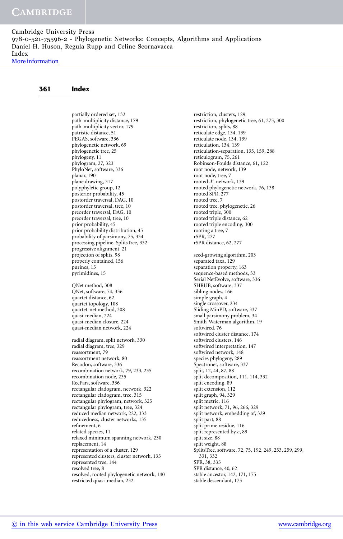## 361 Index

partially ordered set, 132 path-multiplicity distance, 179 path-multiplicity vector, 179 patristic distance, 51 PEGAS, software, 336 phylogenetic network, 69 phylogenetic tree, 25 phylogeny, 11 phylogram, 27, 323 PhyloNet, software, 336 planar, 190 plane drawing, 317 polyphyletic group, 12 posterior probability, 45 postorder traversal, DAG, 10 postorder traversal, tree, 10 preorder traversal, DAG, 10 preorder traversal, tree, 10 prior probability, 45 prior probability distribution, 45 probability of parsimony, 75, 334 processing pipeline, SplitsTree, 332 progressive alignment, 21 projection of splits, 98 properly contained, 156 purines, 15 pyrimidines, 15 QNet method, 308

QNet, software, 74, 336 quartet distance, 62 quartet topology, 108 quartet-net method, 308 quasi-median, 224 quasi-median closure, 224 quasi-median network, 224

radial diagram, split network, 330 radial diagram, tree, 329 reassortment, 79 reassortment network, 80 Recodon, software, 336 recombination network, 79, 233, 235 recombination node, 235 RecPars, software, 336 rectangular cladogram, network, 322 rectangular cladogram, tree, 315 rectangular phylogram, network, 325 rectangular phylogram, tree, 324 reduced median network, 222, 333 reducedness, cluster networks, 135 refinement, 6 related species, 11 relaxed minimum spanning network, 230 replacement, 14 representation of a cluster, 129 represented clusters, cluster network, 135 represented tree, 144 resolved tree, 8 resolved, rooted phylogenetic network, 140 restricted quasi-median, 232

restriction, clusters, 129 restriction, phylogenetic tree, 61, 275, 300 restriction, splits, 88 reticulate edge, 134, 139 reticulate node, 134, 139 reticulation, 134, 139 reticulation-separation, 135, 159, 288 reticulogram, 75, 261 Robinson-Foulds distance, 61, 122 root node, network, 139 root node, tree, 7 rooted  $X$ -network, 139 rooted phylogenetic network, 76, 138 rooted SPR, 277 rooted tree, 7 rooted tree, phylogenetic, 26 rooted triple, 300 rooted triple distance, 62 rooted triple encoding, 300 rooting a tree, 7 rSPR, 277 rSPR distance, 62, 277 seed-growing algorithm, 203 separated taxa, 129 separation property, 163 sequence-based methods, 33 Serial NetEvolve, software, 336 SHRUB, software, 337 sibling nodes, 166 simple graph, 4 single crossover, 234 Sliding MinPD, software, 337 small parsimony problem, 34 Smith-Waterman algorithm, 19 softwired, 76 softwired cluster distance, 174 softwired clusters, 146 softwired interpretation, 147 softwired network, 148 species phylogeny, 289 Spectronet, software, 337 split, 12, 44, 87, 88 split decomposition, 111, 114, 332 split encoding, 89 split extension, 112 split graph, 94, 329 split metric, 116 split network, 71, 96, 266, 329 split network, embedding of, 329 split part, 88 split prime residue, 116 split represented by *e*, 89 split size, 88 split weight, 88 SplitsTree, software, 72, 75, 192, 249, 253, 259, 299, 331, 332 SPR, 38, 335 SPR distance, 40, 62 stable ancestor, 142, 171, 175 stable descendant, 175